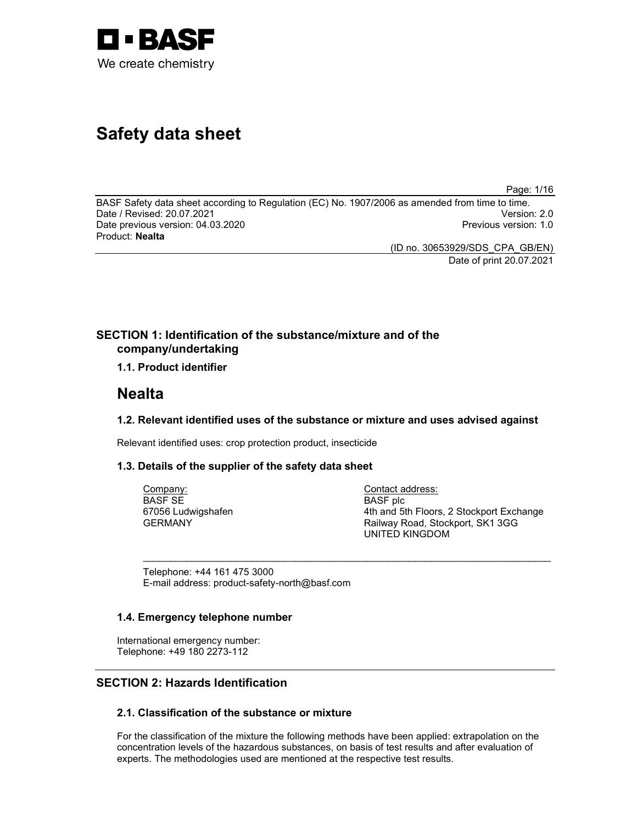

# Safety data sheet

Page: 1/16

BASF Safety data sheet according to Regulation (EC) No. 1907/2006 as amended from time to time.<br>Date / Revised: 20.07.2021 Date / Revised: 20.07.2021 Date previous version: 04.03.2020 **Previous version: 1.0** Previous version: 1.0 Product: Nealta

> (ID no. 30653929/SDS\_CPA\_GB/EN) Date of print 20.07.2021

# SECTION 1: Identification of the substance/mixture and of the company/undertaking

1.1. Product identifier

# Nealta

### 1.2. Relevant identified uses of the substance or mixture and uses advised against

 $\sim$  . The contribution of the contribution of the contribution of the contribution of the contribution of the contribution of the contribution of the contribution of the contribution of the contribution of the contributi

Relevant identified uses: crop protection product, insecticide

### 1.3. Details of the supplier of the safety data sheet

Company: BASF SE 67056 Ludwigshafen GERMANY

Contact address: BASF plc 4th and 5th Floors, 2 Stockport Exchange Railway Road, Stockport, SK1 3GG UNITED KINGDOM

Telephone: +44 161 475 3000 E-mail address: product-safety-north@basf.com

### 1.4. Emergency telephone number

International emergency number: Telephone: +49 180 2273-112

### SECTION 2: Hazards Identification

### 2.1. Classification of the substance or mixture

For the classification of the mixture the following methods have been applied: extrapolation on the concentration levels of the hazardous substances, on basis of test results and after evaluation of experts. The methodologies used are mentioned at the respective test results.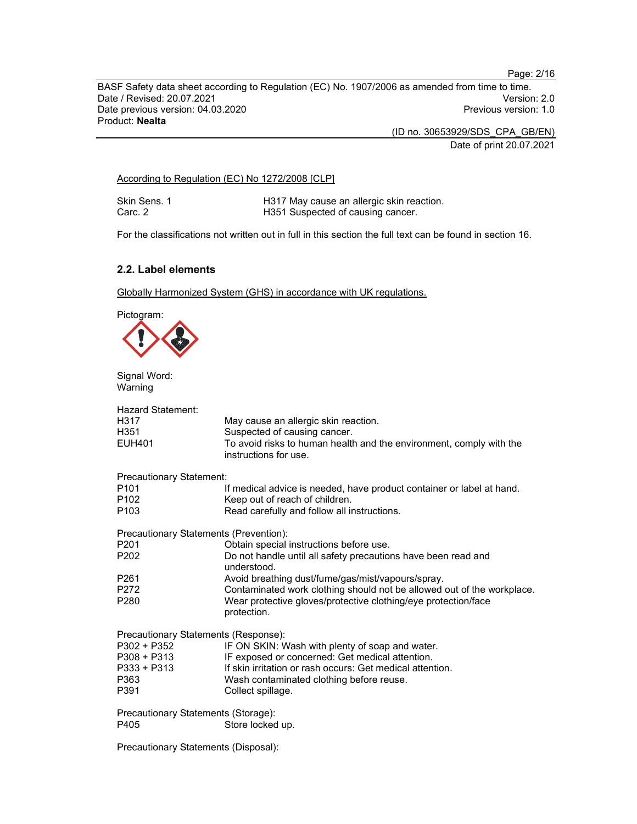Page: 2/16

BASF Safety data sheet according to Regulation (EC) No. 1907/2006 as amended from time to time. Date / Revised: 20.07.2021 Date previous version: 04.03.2020 **Previous version: 1.0** Previous version: 1.0 Product: Nealta

(ID no. 30653929/SDS\_CPA\_GB/EN)

Date of print 20.07.2021

According to Regulation (EC) No 1272/2008 [CLP]

Skin Sens. 1 **H317 May cause an allergic skin reaction.**<br>Carc. 2 **H351 Suspected of causing cancer**. H351 Suspected of causing cancer.

For the classifications not written out in full in this section the full text can be found in section 16.

### 2.2. Label elements

Globally Harmonized System (GHS) in accordance with UK regulations.



Signal Word: Warning

| <b>Hazard Statement:</b><br>H317<br>H351<br><b>EUH401</b> | May cause an allergic skin reaction.<br>Suspected of causing cancer.<br>To avoid risks to human health and the environment, comply with the<br>instructions for use. |
|-----------------------------------------------------------|----------------------------------------------------------------------------------------------------------------------------------------------------------------------|
| Precautionary Statement:                                  |                                                                                                                                                                      |
| P <sub>101</sub><br>P <sub>102</sub><br>P <sub>103</sub>  | If medical advice is needed, have product container or label at hand.<br>Keep out of reach of children.<br>Read carefully and follow all instructions.               |
| Precautionary Statements (Prevention):                    |                                                                                                                                                                      |
| P <sub>201</sub>                                          | Obtain special instructions before use.                                                                                                                              |
| P <sub>202</sub>                                          | Do not handle until all safety precautions have been read and<br>understood.                                                                                         |
| P <sub>261</sub>                                          | Avoid breathing dust/fume/gas/mist/vapours/spray.                                                                                                                    |
| P272                                                      | Contaminated work clothing should not be allowed out of the workplace.                                                                                               |
| P280                                                      | Wear protective gloves/protective clothing/eye protection/face<br>protection.                                                                                        |
| Precautionary Statements (Response):                      |                                                                                                                                                                      |
| P302 + P352                                               | IF ON SKIN: Wash with plenty of soap and water.                                                                                                                      |
| $P308 + P313$                                             | IF exposed or concerned: Get medical attention.                                                                                                                      |
| $P333 + P313$                                             | If skin irritation or rash occurs: Get medical attention.                                                                                                            |
| P363                                                      | Wash contaminated clothing before reuse.                                                                                                                             |
| P391                                                      | Collect spillage.                                                                                                                                                    |
| Precautionary Statements (Storage):                       |                                                                                                                                                                      |
| P405                                                      | Store locked up.                                                                                                                                                     |
| Precautionary Statements (Disposal):                      |                                                                                                                                                                      |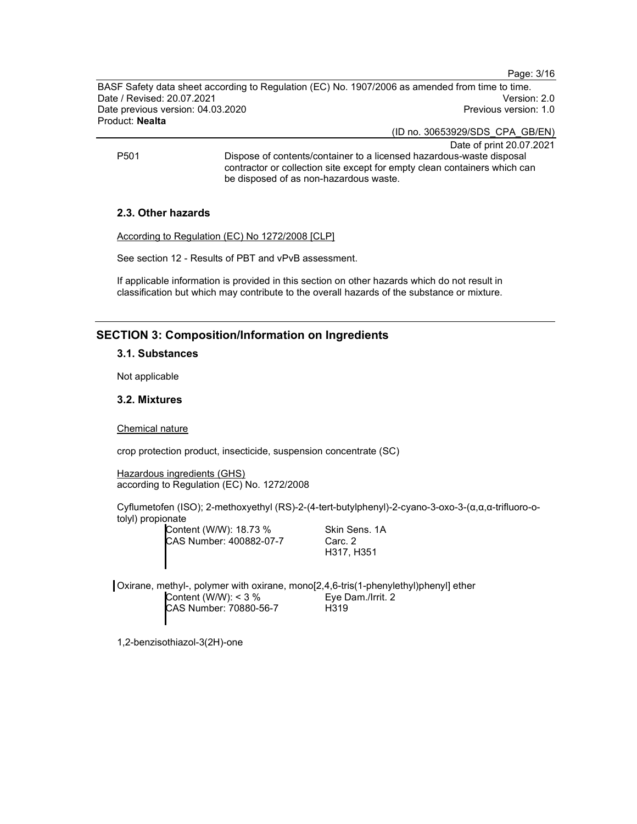Page: 3/16

BASF Safety data sheet according to Regulation (EC) No. 1907/2006 as amended from time to time. Date / Revised: 20.07.2021 Version: 2.0 Date previous version: 04.03.2020 **Previous version: 1.0 Previous version: 1.0** Product: Nealta

(ID no. 30653929/SDS\_CPA\_GB/EN)

Date of print 20.07.2021 P501 Dispose of contents/container to a licensed hazardous-waste disposal contractor or collection site except for empty clean containers which can be disposed of as non-hazardous waste.

### 2.3. Other hazards

According to Regulation (EC) No 1272/2008 [CLP]

See section 12 - Results of PBT and vPvB assessment.

If applicable information is provided in this section on other hazards which do not result in classification but which may contribute to the overall hazards of the substance or mixture.

### SECTION 3: Composition/Information on Ingredients

#### 3.1. Substances

Not applicable

### 3.2. Mixtures

Chemical nature

crop protection product, insecticide, suspension concentrate (SC)

Hazardous ingredients (GHS) according to Regulation (EC) No. 1272/2008

Cyflumetofen (ISO); 2-methoxyethyl (RS)-2-(4-tert-butylphenyl)-2-cyano-3-oxo-3-(α,α,α-trifluoro-otolyl) propionate

> Content (W/W): 18.73 % CAS Number: 400882-07-7

Skin Sens. 1A Carc. 2 H317, H351

Oxirane, methyl-, polymer with oxirane, mono[2,4,6-tris(1-phenylethyl)phenyl] ether Content (W/W): < 3 % CAS Number: 70880-56-7 Eye Dam./Irrit. 2 H319

1,2-benzisothiazol-3(2H)-one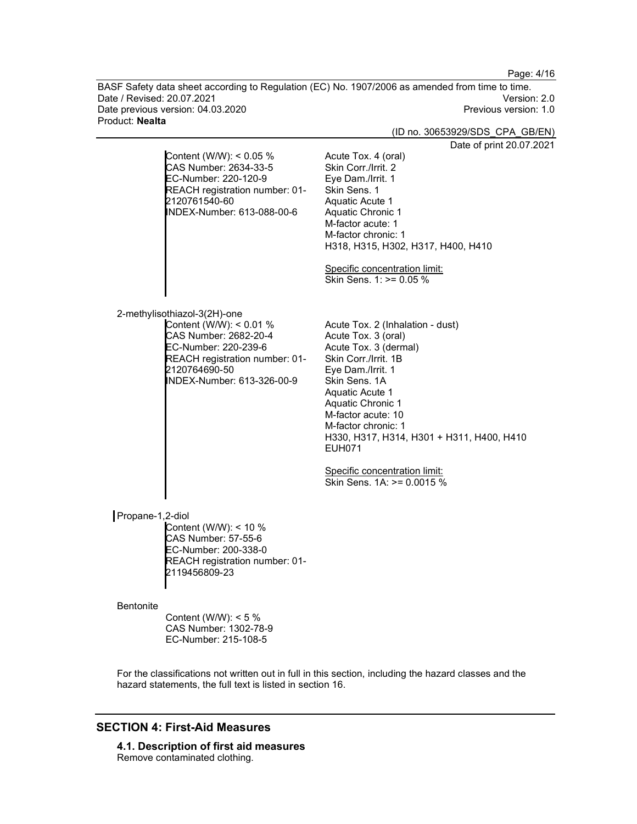Page: 4/16

BASF Safety data sheet according to Regulation (EC) No. 1907/2006 as amended from time to time. Date / Revised: 20.07.2021 Date previous version: 04.03.2020 **Previous version: 1.0** Previous version: 1.0 Product: Nealta

(ID no. 30653929/SDS\_CPA\_GB/EN)

 $.2021$ 

|                  |                                                                                                                                                                                           | Date of print 20.07                                                                                                                                                                                                                                                                                                                                              |
|------------------|-------------------------------------------------------------------------------------------------------------------------------------------------------------------------------------------|------------------------------------------------------------------------------------------------------------------------------------------------------------------------------------------------------------------------------------------------------------------------------------------------------------------------------------------------------------------|
|                  | Content (W/W): < 0.05 %<br>CAS Number: 2634-33-5<br>EC-Number: 220-120-9<br>REACH registration number: 01-<br>2120761540-60<br>INDEX-Number: 613-088-00-6                                 | Acute Tox. 4 (oral)<br>Skin Corr./Irrit. 2<br>Eye Dam./Irrit. 1<br>Skin Sens. 1<br>Aquatic Acute 1<br>Aquatic Chronic 1<br>M-factor acute: 1<br>M-factor chronic: 1<br>H318, H315, H302, H317, H400, H410                                                                                                                                                        |
|                  |                                                                                                                                                                                           | Specific concentration limit:<br>Skin Sens. 1: >= 0.05 %                                                                                                                                                                                                                                                                                                         |
|                  | 2-methylisothiazol-3(2H)-one<br>Content (W/W): < 0.01 %<br>CAS Number: 2682-20-4<br>EC-Number: 220-239-6<br>REACH registration number: 01-<br>2120764690-50<br>INDEX-Number: 613-326-00-9 | Acute Tox. 2 (Inhalation - dust)<br>Acute Tox. 3 (oral)<br>Acute Tox. 3 (dermal)<br>Skin Corr./Irrit. 1B<br>Eye Dam./Irrit. 1<br>Skin Sens. 1A<br>Aquatic Acute 1<br>Aquatic Chronic 1<br>M-factor acute: 10<br>M-factor chronic: 1<br>H330, H317, H314, H301 + H311, H400, H410<br><b>EUH071</b><br>Specific concentration limit:<br>Skin Sens. 1A: >= 0.0015 % |
| Propane-1,2-diol | Content (W/W): < 10 %<br>CAS Number: 57-55-6<br>EC-Number: 200-338-0<br>REACH registration number: 01-<br>2119456809-23                                                                   |                                                                                                                                                                                                                                                                                                                                                                  |
| <b>Bentonite</b> | Content (W/W): $<$ 5 %<br>CAS Number: 1302-78-9<br>EC-Number: 215-108-5                                                                                                                   |                                                                                                                                                                                                                                                                                                                                                                  |

For the classifications not written out in full in this section, including the hazard classes and the hazard statements, the full text is listed in section 16.

# SECTION 4: First-Aid Measures

4.1. Description of first aid measures Remove contaminated clothing.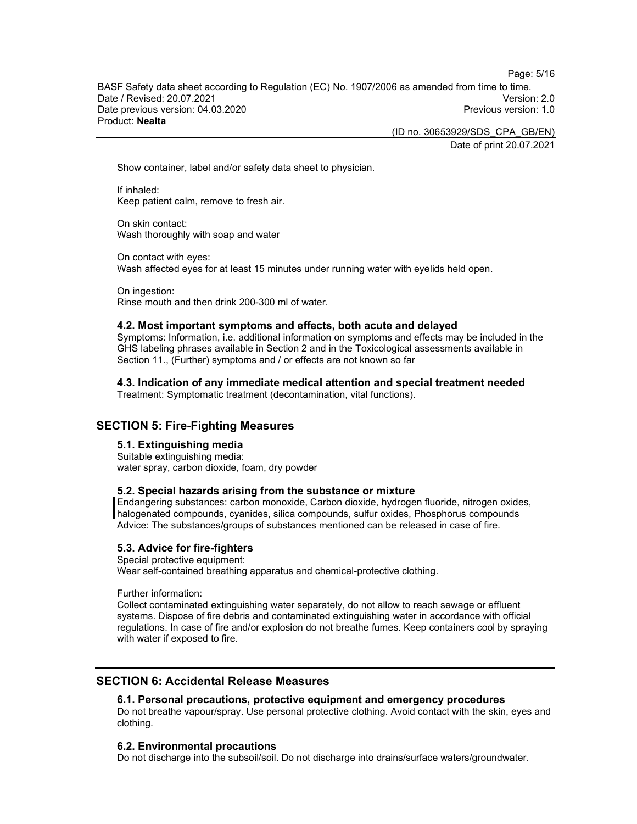Page: 5/16

BASF Safety data sheet according to Regulation (EC) No. 1907/2006 as amended from time to time. Date / Revised: 20.07.2021 Version: 2.0 Date previous version: 04.03.2020 Previous version: 1.0 Product: Nealta

(ID no. 30653929/SDS\_CPA\_GB/EN)

Date of print 20.07.2021

Show container, label and/or safety data sheet to physician.

If inhaled: Keep patient calm, remove to fresh air.

On skin contact: Wash thoroughly with soap and water

On contact with eyes: Wash affected eyes for at least 15 minutes under running water with eyelids held open.

On ingestion: Rinse mouth and then drink 200-300 ml of water.

#### 4.2. Most important symptoms and effects, both acute and delayed

Symptoms: Information, i.e. additional information on symptoms and effects may be included in the GHS labeling phrases available in Section 2 and in the Toxicological assessments available in Section 11., (Further) symptoms and / or effects are not known so far

4.3. Indication of any immediate medical attention and special treatment needed Treatment: Symptomatic treatment (decontamination, vital functions).

### SECTION 5: Fire-Fighting Measures

### 5.1. Extinguishing media

Suitable extinguishing media: water spray, carbon dioxide, foam, dry powder

#### 5.2. Special hazards arising from the substance or mixture

Endangering substances: carbon monoxide, Carbon dioxide, hydrogen fluoride, nitrogen oxides, halogenated compounds, cyanides, silica compounds, sulfur oxides, Phosphorus compounds Advice: The substances/groups of substances mentioned can be released in case of fire.

### 5.3. Advice for fire-fighters

Special protective equipment:

Wear self-contained breathing apparatus and chemical-protective clothing.

Further information:

Collect contaminated extinguishing water separately, do not allow to reach sewage or effluent systems. Dispose of fire debris and contaminated extinguishing water in accordance with official regulations. In case of fire and/or explosion do not breathe fumes. Keep containers cool by spraying with water if exposed to fire.

### SECTION 6: Accidental Release Measures

### 6.1. Personal precautions, protective equipment and emergency procedures

Do not breathe vapour/spray. Use personal protective clothing. Avoid contact with the skin, eyes and clothing.

#### 6.2. Environmental precautions

Do not discharge into the subsoil/soil. Do not discharge into drains/surface waters/groundwater.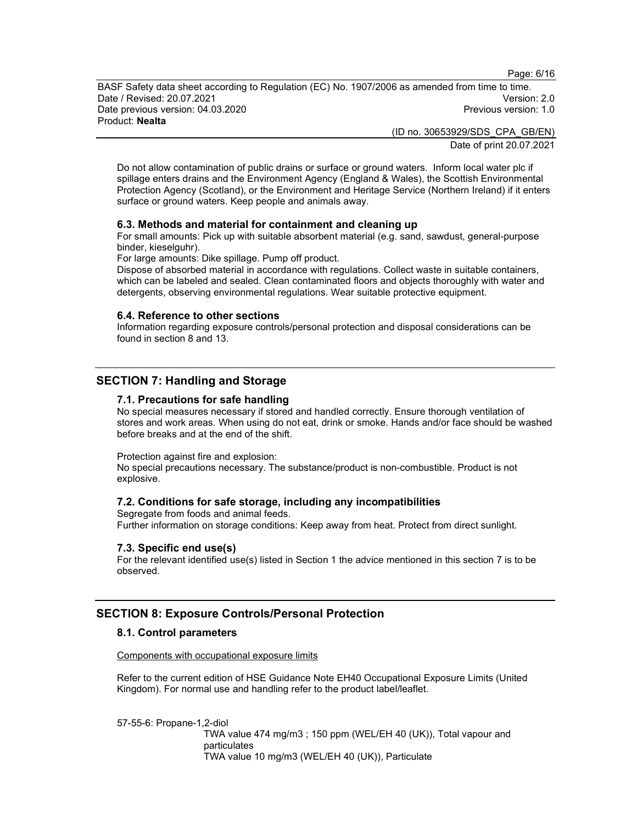Page: 6/16

BASF Safety data sheet according to Regulation (EC) No. 1907/2006 as amended from time to time. Date / Revised: 20.07.2021 Version: 2.0 Date previous version: 04.03.2020 **Previous version: 1.0 Previous version: 1.0** Product: Nealta

(ID no. 30653929/SDS\_CPA\_GB/EN)

Date of print 20.07.2021

Do not allow contamination of public drains or surface or ground waters. Inform local water plc if spillage enters drains and the Environment Agency (England & Wales), the Scottish Environmental Protection Agency (Scotland), or the Environment and Heritage Service (Northern Ireland) if it enters surface or ground waters. Keep people and animals away.

### 6.3. Methods and material for containment and cleaning up

For small amounts: Pick up with suitable absorbent material (e.g. sand, sawdust, general-purpose binder, kieselguhr).

For large amounts: Dike spillage. Pump off product.

Dispose of absorbed material in accordance with regulations. Collect waste in suitable containers, which can be labeled and sealed. Clean contaminated floors and objects thoroughly with water and detergents, observing environmental regulations. Wear suitable protective equipment.

### 6.4. Reference to other sections

Information regarding exposure controls/personal protection and disposal considerations can be found in section 8 and 13.

### SECTION 7: Handling and Storage

### 7.1. Precautions for safe handling

No special measures necessary if stored and handled correctly. Ensure thorough ventilation of stores and work areas. When using do not eat, drink or smoke. Hands and/or face should be washed before breaks and at the end of the shift.

Protection against fire and explosion:

No special precautions necessary. The substance/product is non-combustible. Product is not explosive.

### 7.2. Conditions for safe storage, including any incompatibilities

Segregate from foods and animal feeds. Further information on storage conditions: Keep away from heat. Protect from direct sunlight.

#### 7.3. Specific end use(s)

For the relevant identified use(s) listed in Section 1 the advice mentioned in this section 7 is to be observed.

### SECTION 8: Exposure Controls/Personal Protection

### 8.1. Control parameters

Components with occupational exposure limits

Refer to the current edition of HSE Guidance Note EH40 Occupational Exposure Limits (United Kingdom). For normal use and handling refer to the product label/leaflet.

57-55-6: Propane-1,2-diol

 TWA value 474 mg/m3 ; 150 ppm (WEL/EH 40 (UK)), Total vapour and particulates TWA value 10 mg/m3 (WEL/EH 40 (UK)), Particulate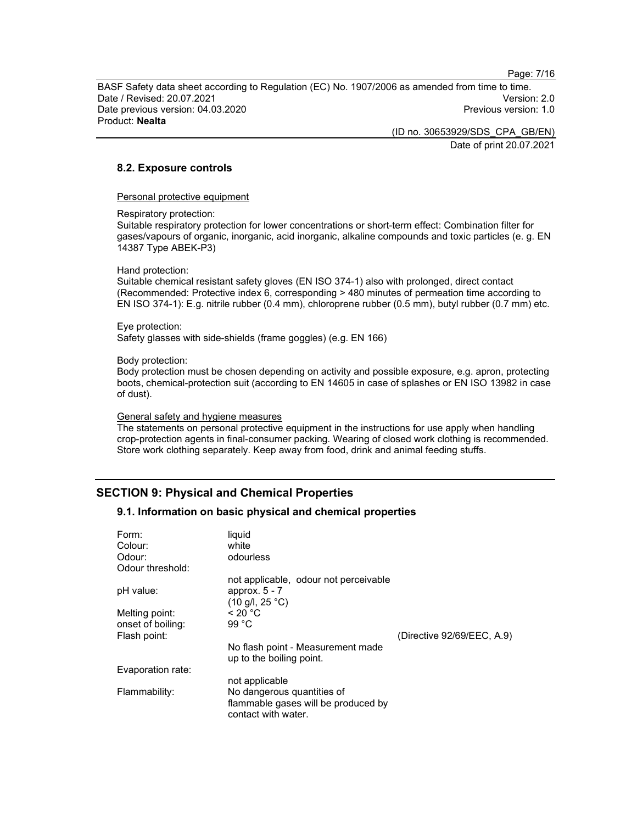Page: 7/16

BASF Safety data sheet according to Regulation (EC) No. 1907/2006 as amended from time to time. Date / Revised: 20.07.2021 Version: 2.0 Date previous version: 04.03.2020 Previous version: 1.0 Product: Nealta

> (ID no. 30653929/SDS\_CPA\_GB/EN) Date of print 20.07.2021

8.2. Exposure controls

Personal protective equipment

Respiratory protection:

Suitable respiratory protection for lower concentrations or short-term effect: Combination filter for gases/vapours of organic, inorganic, acid inorganic, alkaline compounds and toxic particles (e. g. EN 14387 Type ABEK-P3)

Hand protection:

Suitable chemical resistant safety gloves (EN ISO 374-1) also with prolonged, direct contact (Recommended: Protective index 6, corresponding > 480 minutes of permeation time according to EN ISO 374-1): E.g. nitrile rubber (0.4 mm), chloroprene rubber (0.5 mm), butyl rubber (0.7 mm) etc.

Eye protection: Safety glasses with side-shields (frame goggles) (e.g. EN 166)

Body protection:

Body protection must be chosen depending on activity and possible exposure, e.g. apron, protecting boots, chemical-protection suit (according to EN 14605 in case of splashes or EN ISO 13982 in case of dust).

General safety and hygiene measures

The statements on personal protective equipment in the instructions for use apply when handling crop-protection agents in final-consumer packing. Wearing of closed work clothing is recommended. Store work clothing separately. Keep away from food, drink and animal feeding stuffs.

### SECTION 9: Physical and Chemical Properties

#### 9.1. Information on basic physical and chemical properties

| Form:<br>Colour:<br>Odour:<br>Odour threshold: | liquid<br>white<br>odourless                                                             |                            |
|------------------------------------------------|------------------------------------------------------------------------------------------|----------------------------|
|                                                | not applicable, odour not perceivable                                                    |                            |
| pH value:                                      | approx. $5 - 7$<br>$(10 \text{ g/l}, 25 \text{ }^{\circ}\text{C})$                       |                            |
| Melting point:                                 | < 20 °C                                                                                  |                            |
| onset of boiling:                              | 99 °C                                                                                    |                            |
| Flash point:                                   |                                                                                          | (Directive 92/69/EEC, A.9) |
|                                                | No flash point - Measurement made<br>up to the boiling point.                            |                            |
| Evaporation rate:                              |                                                                                          |                            |
|                                                | not applicable                                                                           |                            |
| Flammability:                                  | No dangerous quantities of<br>flammable gases will be produced by<br>contact with water. |                            |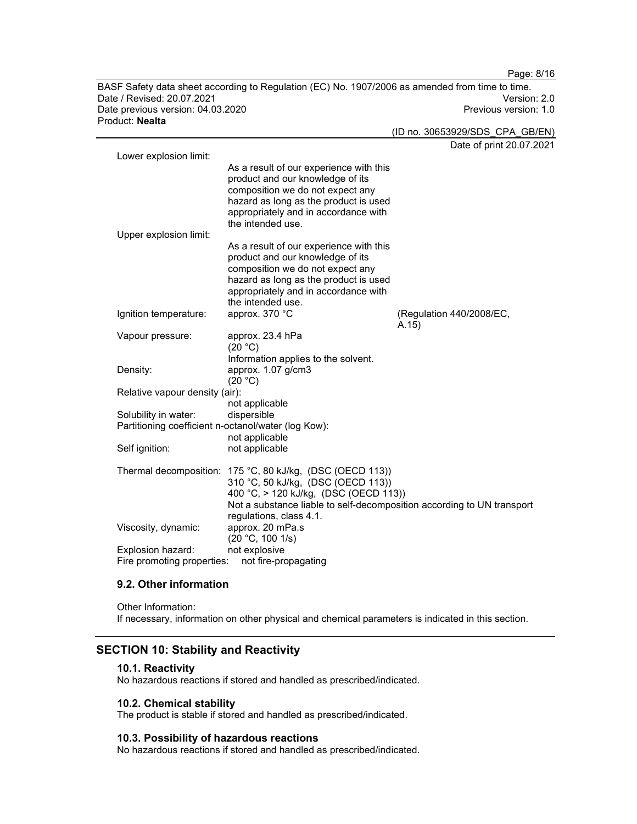BASF Safety data sheet according to Regulation (EC) No. 1907/2006 as amended from time to time.<br>Date / Revised: 20.07.2021 Date / Revised: 20.07.2021 Date previous version: 04.03.2020 **Previous version: 1.0** Previous version: 1.0 Product: Nealta

|                                                     |                                                                                                                                                                                                                                               | Date of print 20.07.2021          |
|-----------------------------------------------------|-----------------------------------------------------------------------------------------------------------------------------------------------------------------------------------------------------------------------------------------------|-----------------------------------|
| Lower explosion limit:                              |                                                                                                                                                                                                                                               |                                   |
|                                                     | As a result of our experience with this<br>product and our knowledge of its<br>composition we do not expect any<br>hazard as long as the product is used<br>appropriately and in accordance with<br>the intended use.                         |                                   |
| Upper explosion limit:                              |                                                                                                                                                                                                                                               |                                   |
|                                                     | As a result of our experience with this<br>product and our knowledge of its<br>composition we do not expect any<br>hazard as long as the product is used<br>appropriately and in accordance with<br>the intended use.                         |                                   |
| Ignition temperature:                               | approx. 370 °C                                                                                                                                                                                                                                | (Regulation 440/2008/EC,<br>A.15) |
| Vapour pressure:                                    | approx. 23.4 hPa<br>(20 °C)                                                                                                                                                                                                                   |                                   |
| Density:                                            | Information applies to the solvent.<br>approx. 1.07 g/cm3<br>(20 °C)                                                                                                                                                                          |                                   |
| Relative vapour density (air):                      |                                                                                                                                                                                                                                               |                                   |
|                                                     | not applicable                                                                                                                                                                                                                                |                                   |
| Solubility in water:                                | dispersible                                                                                                                                                                                                                                   |                                   |
| Partitioning coefficient n-octanol/water (log Kow): |                                                                                                                                                                                                                                               |                                   |
|                                                     | not applicable                                                                                                                                                                                                                                |                                   |
| Self ignition:                                      | not applicable                                                                                                                                                                                                                                |                                   |
|                                                     | Thermal decomposition: 175 °C, 80 kJ/kg, (DSC (OECD 113))<br>310 °C, 50 kJ/kg, (DSC (OECD 113))<br>400 °C, > 120 kJ/kg, (DSC (OECD 113))<br>Not a substance liable to self-decomposition according to UN transport<br>regulations, class 4.1. |                                   |
| Viscosity, dynamic:                                 | approx. 20 mPa.s<br>(20 °C, 100 1/s)                                                                                                                                                                                                          |                                   |
| Explosion hazard:<br>Fire promoting properties:     | not explosive<br>not fire-propagating                                                                                                                                                                                                         |                                   |

## 9.2. Other information

Other Information: If necessary, information on other physical and chemical parameters is indicated in this section.

### SECTION 10: Stability and Reactivity

#### 10.1. Reactivity

No hazardous reactions if stored and handled as prescribed/indicated.

### 10.2. Chemical stability

The product is stable if stored and handled as prescribed/indicated.

#### 10.3. Possibility of hazardous reactions

No hazardous reactions if stored and handled as prescribed/indicated.

Page: 8/16

(ID no. 30653929/SDS\_CPA\_GB/EN)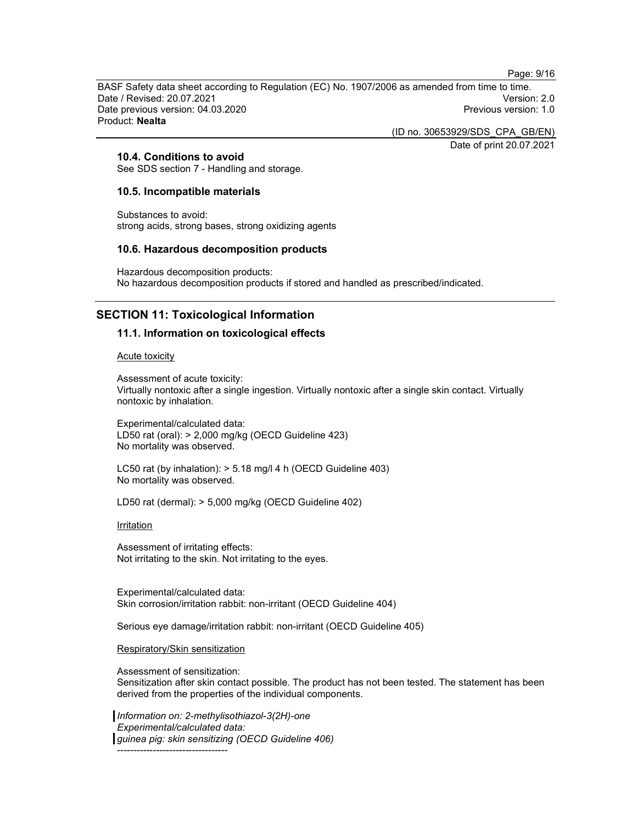Page: 9/16

BASF Safety data sheet according to Regulation (EC) No. 1907/2006 as amended from time to time. Date / Revised: 20.07.2021 Version: 2.0 Date previous version: 04.03.2020 Previous version: 1.0 Product: Nealta

(ID no. 30653929/SDS\_CPA\_GB/EN)

Date of print 20.07.2021

### 10.4. Conditions to avoid

See SDS section 7 - Handling and storage.

#### 10.5. Incompatible materials

Substances to avoid: strong acids, strong bases, strong oxidizing agents

#### 10.6. Hazardous decomposition products

Hazardous decomposition products: No hazardous decomposition products if stored and handled as prescribed/indicated.

### SECTION 11: Toxicological Information

#### 11.1. Information on toxicological effects

Acute toxicity

Assessment of acute toxicity: Virtually nontoxic after a single ingestion. Virtually nontoxic after a single skin contact. Virtually nontoxic by inhalation.

Experimental/calculated data: LD50 rat (oral): > 2,000 mg/kg (OECD Guideline 423) No mortality was observed.

LC50 rat (by inhalation): > 5.18 mg/l 4 h (OECD Guideline 403) No mortality was observed.

LD50 rat (dermal): > 5,000 mg/kg (OECD Guideline 402)

**Irritation** 

Assessment of irritating effects: Not irritating to the skin. Not irritating to the eyes.

Experimental/calculated data: Skin corrosion/irritation rabbit: non-irritant (OECD Guideline 404)

Serious eye damage/irritation rabbit: non-irritant (OECD Guideline 405)

#### Respiratory/Skin sensitization

Assessment of sensitization: Sensitization after skin contact possible. The product has not been tested. The statement has been derived from the properties of the individual components.

Information on: 2-methylisothiazol-3(2H)-one Experimental/calculated data: guinea pig: skin sensitizing (OECD Guideline 406) ----------------------------------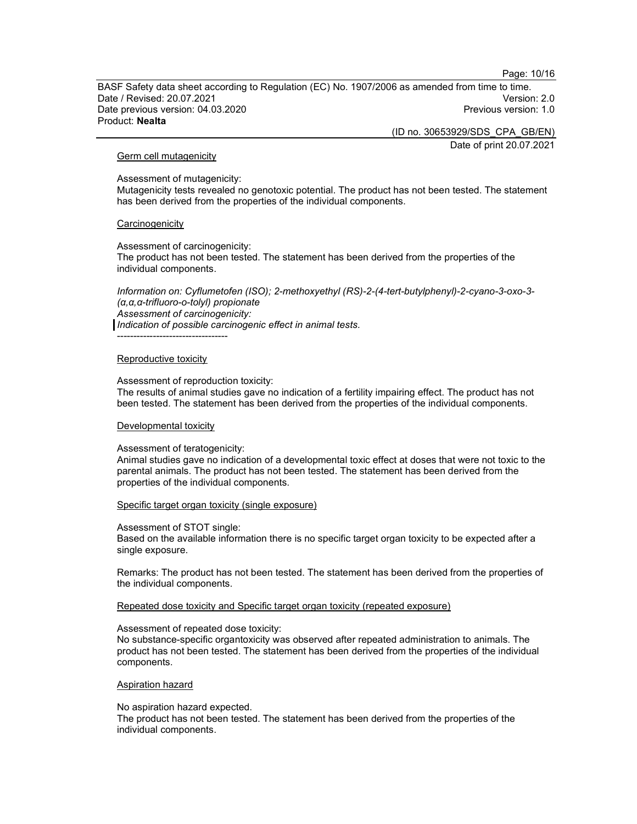Page: 10/16

BASF Safety data sheet according to Regulation (EC) No. 1907/2006 as amended from time to time. Date / Revised: 20.07.2021 Version: 2.0 Date previous version: 04.03.2020 Previous version: 1.0 Product: Nealta

(ID no. 30653929/SDS\_CPA\_GB/EN)

Date of print 20.07.2021

#### Germ cell mutagenicity

Assessment of mutagenicity:

Mutagenicity tests revealed no genotoxic potential. The product has not been tested. The statement has been derived from the properties of the individual components.

#### **Carcinogenicity**

Assessment of carcinogenicity: The product has not been tested. The statement has been derived from the properties of the individual components.

Information on: Cyflumetofen (ISO); 2-methoxyethyl (RS)-2-(4-tert-butylphenyl)-2-cyano-3-oxo-3- (α,α,α-trifluoro-o-tolyl) propionate Assessment of carcinogenicity:

Indication of possible carcinogenic effect in animal tests.

----------------------------------

#### Reproductive toxicity

Assessment of reproduction toxicity:

The results of animal studies gave no indication of a fertility impairing effect. The product has not been tested. The statement has been derived from the properties of the individual components.

#### Developmental toxicity

Assessment of teratogenicity:

Animal studies gave no indication of a developmental toxic effect at doses that were not toxic to the parental animals. The product has not been tested. The statement has been derived from the properties of the individual components.

#### Specific target organ toxicity (single exposure)

Assessment of STOT single:

Based on the available information there is no specific target organ toxicity to be expected after a single exposure.

Remarks: The product has not been tested. The statement has been derived from the properties of the individual components.

Repeated dose toxicity and Specific target organ toxicity (repeated exposure)

Assessment of repeated dose toxicity:

No substance-specific organtoxicity was observed after repeated administration to animals. The product has not been tested. The statement has been derived from the properties of the individual components.

#### Aspiration hazard

No aspiration hazard expected.

The product has not been tested. The statement has been derived from the properties of the individual components.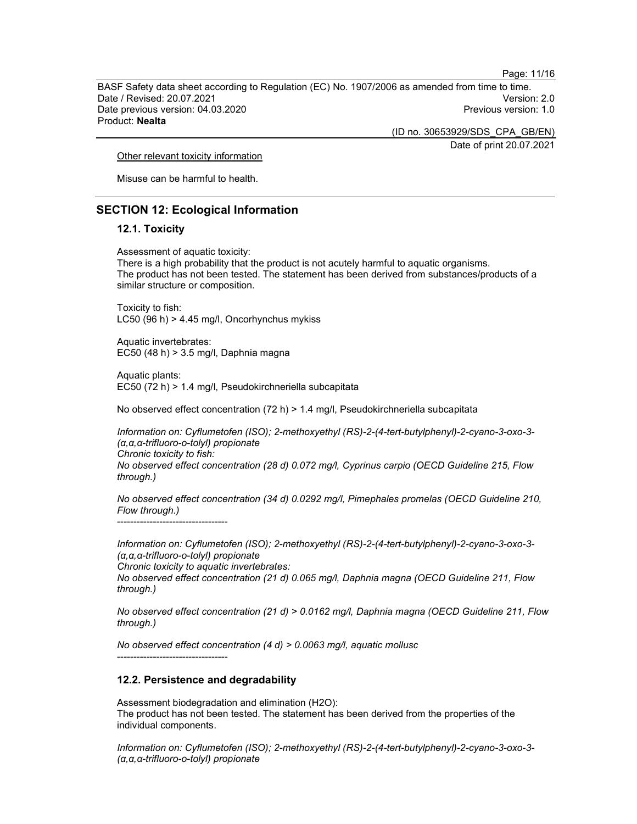Page: 11/16

BASF Safety data sheet according to Regulation (EC) No. 1907/2006 as amended from time to time. Date / Revised: 20.07.2021 Version: 2.0 Date previous version: 04.03.2020 Previous version: 1.0 Product: Nealta

(ID no. 30653929/SDS\_CPA\_GB/EN)

Date of print 20.07.2021

Other relevant toxicity information

Misuse can be harmful to health.

### SECTION 12: Ecological Information

### 12.1. Toxicity

Assessment of aquatic toxicity: There is a high probability that the product is not acutely harmful to aquatic organisms. The product has not been tested. The statement has been derived from substances/products of a similar structure or composition.

Toxicity to fish: LC50 (96 h) > 4.45 mg/l, Oncorhynchus mykiss

Aquatic invertebrates: EC50 (48 h) > 3.5 mg/l, Daphnia magna

Aquatic plants: EC50 (72 h) > 1.4 mg/l, Pseudokirchneriella subcapitata

No observed effect concentration (72 h) > 1.4 mg/l, Pseudokirchneriella subcapitata

Information on: Cyflumetofen (ISO); 2-methoxyethyl (RS)-2-(4-tert-butylphenyl)-2-cyano-3-oxo-3- (α,α,α-trifluoro-o-tolyl) propionate Chronic toxicity to fish: No observed effect concentration (28 d) 0.072 mg/l, Cyprinus carpio (OECD Guideline 215, Flow

through.)

No observed effect concentration (34 d) 0.0292 mg/l, Pimephales promelas (OECD Guideline 210, Flow through.) ----------------------------------

Information on: Cyflumetofen (ISO); 2-methoxyethyl (RS)-2-(4-tert-butylphenyl)-2-cyano-3-oxo-3- (α,α,α-trifluoro-o-tolyl) propionate

Chronic toxicity to aquatic invertebrates:

No observed effect concentration (21 d) 0.065 mg/l, Daphnia magna (OECD Guideline 211, Flow through.)

No observed effect concentration (21 d) > 0.0162 mg/l, Daphnia magna (OECD Guideline 211, Flow through.)

No observed effect concentration (4 d) > 0.0063 mg/l, aquatic mollusc ----------------------------------

#### 12.2. Persistence and degradability

Assessment biodegradation and elimination (H2O): The product has not been tested. The statement has been derived from the properties of the individual components.

Information on: Cyflumetofen (ISO); 2-methoxyethyl (RS)-2-(4-tert-butylphenyl)-2-cyano-3-oxo-3- (α,α,α-trifluoro-o-tolyl) propionate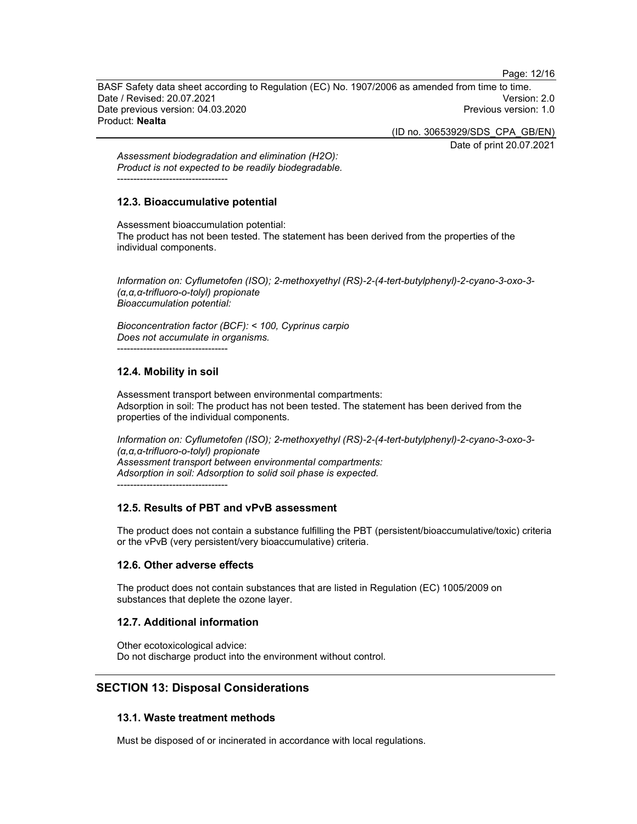Page: 12/16

BASF Safety data sheet according to Regulation (EC) No. 1907/2006 as amended from time to time. Date / Revised: 20.07.2021 Version: 2.0 Date previous version: 04.03.2020 Previous version: 1.0 Product: Nealta

(ID no. 30653929/SDS\_CPA\_GB/EN)

Date of print 20.07.2021

Assessment biodegradation and elimination (H2O): Product is not expected to be readily biodegradable. ----------------------------------

### 12.3. Bioaccumulative potential

Assessment bioaccumulation potential: The product has not been tested. The statement has been derived from the properties of the individual components.

Information on: Cyflumetofen (ISO); 2-methoxyethyl (RS)-2-(4-tert-butylphenyl)-2-cyano-3-oxo-3- (α,α,α-trifluoro-o-tolyl) propionate Bioaccumulation potential:

Bioconcentration factor (BCF): < 100, Cyprinus carpio Does not accumulate in organisms. ----------------------------------

### 12.4. Mobility in soil

Assessment transport between environmental compartments: Adsorption in soil: The product has not been tested. The statement has been derived from the properties of the individual components.

Information on: Cyflumetofen (ISO); 2-methoxyethyl (RS)-2-(4-tert-butylphenyl)-2-cyano-3-oxo-3- (α,α,α-trifluoro-o-tolyl) propionate Assessment transport between environmental compartments: Adsorption in soil: Adsorption to solid soil phase is expected. ----------------------------------

### 12.5. Results of PBT and vPvB assessment

The product does not contain a substance fulfilling the PBT (persistent/bioaccumulative/toxic) criteria or the vPvB (very persistent/very bioaccumulative) criteria.

#### 12.6. Other adverse effects

The product does not contain substances that are listed in Regulation (EC) 1005/2009 on substances that deplete the ozone layer.

#### 12.7. Additional information

Other ecotoxicological advice: Do not discharge product into the environment without control.

### SECTION 13: Disposal Considerations

#### 13.1. Waste treatment methods

Must be disposed of or incinerated in accordance with local regulations.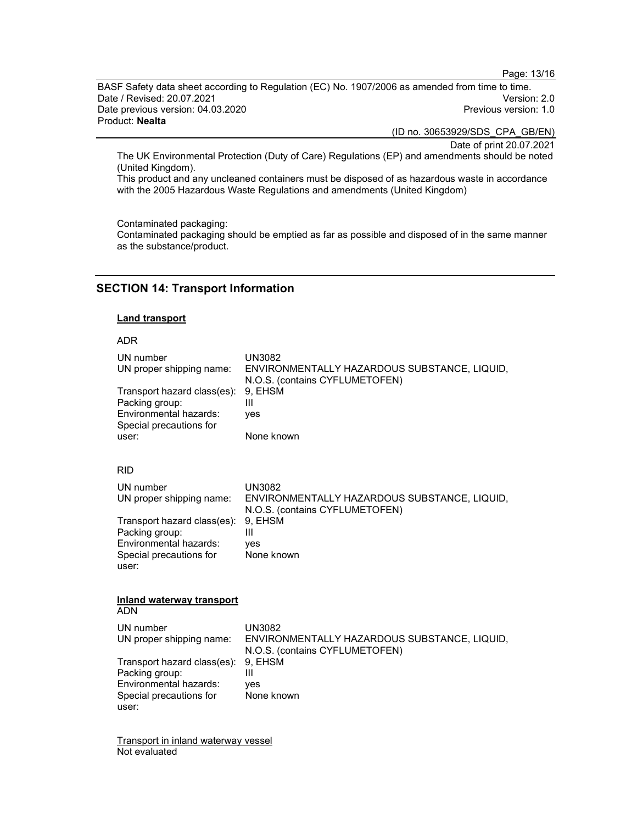Page: 13/16

BASF Safety data sheet according to Regulation (EC) No. 1907/2006 as amended from time to time.<br>Date / Revised: 20.07.2021 Date / Revised: 20.07.2021 Date previous version: 04.03.2020 **Previous version: 1.0** Previous version: 1.0 Product: Nealta

(ID no. 30653929/SDS\_CPA\_GB/EN)

Date of print 20.07.2021

The UK Environmental Protection (Duty of Care) Regulations (EP) and amendments should be noted (United Kingdom).

This product and any uncleaned containers must be disposed of as hazardous waste in accordance with the 2005 Hazardous Waste Regulations and amendments (United Kingdom)

Contaminated packaging:

Contaminated packaging should be emptied as far as possible and disposed of in the same manner as the substance/product.

### SECTION 14: Transport Information

#### Land transport

#### ADR

| UN number<br>UN proper shipping name:<br>Transport hazard class(es):<br>Packing group:<br>Environmental hazards:<br>Special precautions for<br>user: | UN3082<br>ENVIRONMENTALLY HAZARDOUS SUBSTANCE, LIQUID,<br>N.O.S. (contains CYFLUMETOFEN)<br>9, EHSM<br>Ш<br>yes<br>None known                     |
|------------------------------------------------------------------------------------------------------------------------------------------------------|---------------------------------------------------------------------------------------------------------------------------------------------------|
| <b>RID</b>                                                                                                                                           |                                                                                                                                                   |
| UN number<br>UN proper shipping name:<br>Transport hazard class(es):<br>Packing group:<br>Environmental hazards:<br>Special precautions for<br>user: | <b>UN3082</b><br>ENVIRONMENTALLY HAZARDOUS SUBSTANCE, LIQUID,<br>N.O.S. (contains CYFLUMETOFEN)<br>9, EHSM<br>$\mathbf{III}$<br>ves<br>None known |
| Inland waterway transport<br><b>ADN</b>                                                                                                              |                                                                                                                                                   |
| UN number<br>UN proper shipping name:                                                                                                                | <b>UN3082</b><br>ENVIRONMENTALLY HAZARDOUS SUBSTANCE, LIQUID,<br>N.O.S. (contains CYFLUMETOFEN)                                                   |
| Transport hazard class(es):<br>Packing group:<br>Environmental hazards:<br>Special precautions for<br>user:                                          | 9. EHSM<br>Ш<br>ves<br>None known                                                                                                                 |
| <b>Transport in inland waterway vessel</b>                                                                                                           |                                                                                                                                                   |

Not evaluated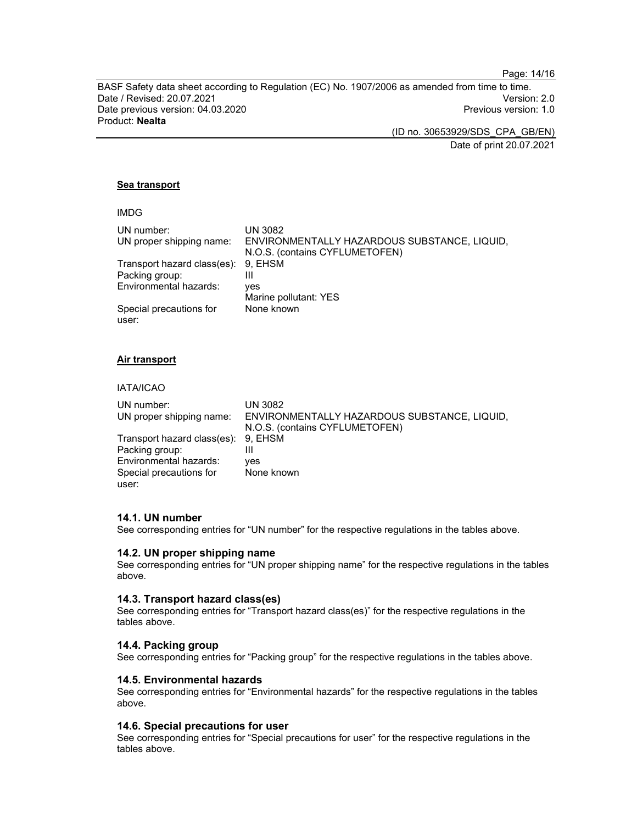Page: 14/16

BASF Safety data sheet according to Regulation (EC) No. 1907/2006 as amended from time to time. Date / Revised: 20.07.2021 Version: 2.0 Date previous version: 04.03.2020 **Previous version: 1.0** Previous version: 1.0 Product: Nealta

(ID no. 30653929/SDS\_CPA\_GB/EN)

Date of print 20.07.2021

### Sea transport

| ۰, |  |
|----|--|
|----|--|

| UN number:                  | <b>UN 3082</b>                               |
|-----------------------------|----------------------------------------------|
| UN proper shipping name:    | ENVIRONMENTALLY HAZARDOUS SUBSTANCE, LIQUID, |
|                             | N.O.S. (contains CYFLUMETOFEN)               |
| Transport hazard class(es): | 9. EHSM                                      |
| Packing group:              | Ш                                            |
| Environmental hazards:      | ves                                          |
|                             | Marine pollutant: YES                        |
| Special precautions for     | None known                                   |
| user:                       |                                              |

#### Air transport

#### IATA/ICAO

| UN number:                          | UN 3082                                      |
|-------------------------------------|----------------------------------------------|
| UN proper shipping name:            | ENVIRONMENTALLY HAZARDOUS SUBSTANCE, LIQUID, |
|                                     | N.O.S. (contains CYFLUMETOFEN)               |
| Transport hazard class(es): 9, EHSM |                                              |
| Packing group:                      | Ш                                            |
| Environmental hazards:              | ves                                          |
| Special precautions for             | None known                                   |
| user:                               |                                              |

#### 14.1. UN number

See corresponding entries for "UN number" for the respective regulations in the tables above.

#### 14.2. UN proper shipping name

See corresponding entries for "UN proper shipping name" for the respective regulations in the tables above.

#### 14.3. Transport hazard class(es)

See corresponding entries for "Transport hazard class(es)" for the respective regulations in the tables above.

#### 14.4. Packing group

See corresponding entries for "Packing group" for the respective regulations in the tables above.

#### 14.5. Environmental hazards

See corresponding entries for "Environmental hazards" for the respective regulations in the tables above.

### 14.6. Special precautions for user

See corresponding entries for "Special precautions for user" for the respective regulations in the tables above.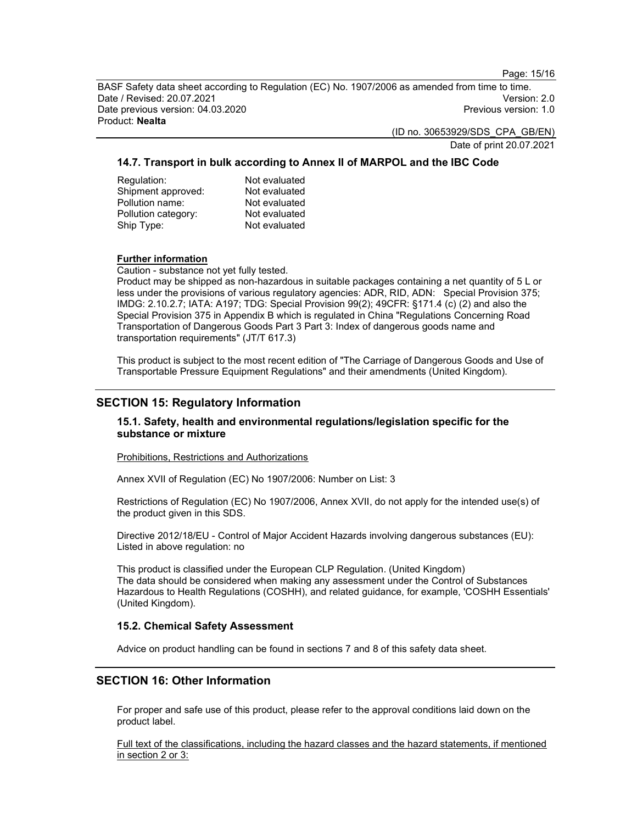Page: 15/16

BASF Safety data sheet according to Regulation (EC) No. 1907/2006 as amended from time to time. Date / Revised: 20.07.2021 Version: 2.0 Date previous version: 04.03.2020 Previous version: 1.0 Product: Nealta

(ID no. 30653929/SDS\_CPA\_GB/EN)

Date of print 20.07.2021

### 14.7. Transport in bulk according to Annex II of MARPOL and the IBC Code

Regulation: Not evaluated Shipment approved: Not evaluated Pollution name: Not evaluated Pollution category: Not evaluated Ship Type: Not evaluated

#### Further information

Caution - substance not yet fully tested.

Product may be shipped as non-hazardous in suitable packages containing a net quantity of 5 L or less under the provisions of various regulatory agencies: ADR, RID, ADN: Special Provision 375; IMDG: 2.10.2.7; IATA: A197; TDG: Special Provision 99(2); 49CFR: §171.4 (c) (2) and also the Special Provision 375 in Appendix B which is regulated in China "Regulations Concerning Road Transportation of Dangerous Goods Part 3 Part 3: Index of dangerous goods name and transportation requirements" (JT/T 617.3)

This product is subject to the most recent edition of "The Carriage of Dangerous Goods and Use of Transportable Pressure Equipment Regulations" and their amendments (United Kingdom).

### SECTION 15: Regulatory Information

### 15.1. Safety, health and environmental regulations/legislation specific for the substance or mixture

Prohibitions, Restrictions and Authorizations

Annex XVII of Regulation (EC) No 1907/2006: Number on List: 3

Restrictions of Regulation (EC) No 1907/2006, Annex XVII, do not apply for the intended use(s) of the product given in this SDS.

Directive 2012/18/EU - Control of Major Accident Hazards involving dangerous substances (EU): Listed in above regulation: no

This product is classified under the European CLP Regulation. (United Kingdom) The data should be considered when making any assessment under the Control of Substances Hazardous to Health Regulations (COSHH), and related guidance, for example, 'COSHH Essentials' (United Kingdom).

### 15.2. Chemical Safety Assessment

Advice on product handling can be found in sections 7 and 8 of this safety data sheet.

### SECTION 16: Other Information

For proper and safe use of this product, please refer to the approval conditions laid down on the product label.

Full text of the classifications, including the hazard classes and the hazard statements, if mentioned in section 2 or 3: